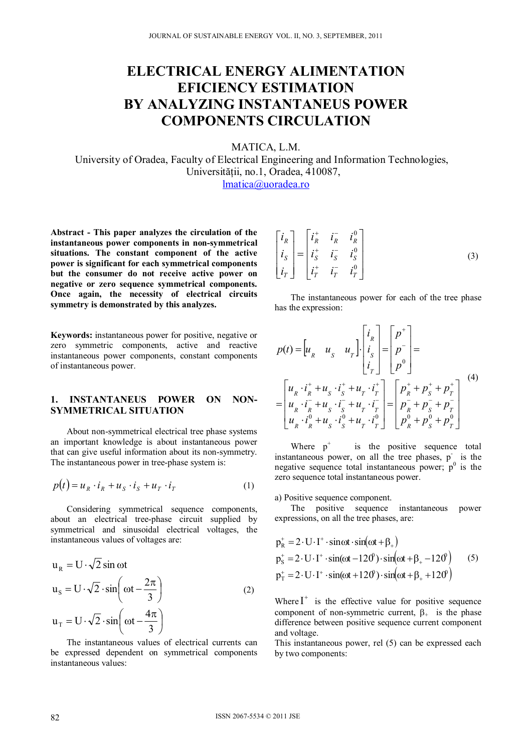# **ELECTRICAL ENERGY ALIMENTATION EFICIENCY ESTIMATION BY ANALYZING INSTANTANEUS POWER COMPONENTS CIRCULATION**

MATICA, L.M.

University of Oradea, Faculty of Electrical Engineering and Information Technologies, Universității, no.1, Oradea, 410087, lmatica@uoradea.ro

 $\sim$ 

**Abstract - This paper analyzes the circulation of the instantaneous power components in non-symmetrical situations. The constant component of the active power is significant for each symmetrical components but the consumer do not receive active power on negative or zero sequence symmetrical components. Once again, the necessity of electrical circuits symmetry is demonstrated by this analyzes.** 

**Keywords:** instantaneous power for positive, negative or zero symmetric components, active and reactive instantaneous power components, constant components of instantaneous power.

## **1. INSTANTANEUS POWER ON NON-SYMMETRICAL SITUATION**

About non-symmetrical electrical tree phase systems an important knowledge is about instantaneous power that can give useful information about its non-symmetry. The instantaneous power in tree-phase system is:

$$
p(t) = u_R \cdot i_R + u_S \cdot i_S + u_T \cdot i_T \tag{1}
$$

Considering symmetrical sequence components, about an electrical tree-phase circuit supplied by symmetrical and sinusoidal electrical voltages, the instantaneous values of voltages are:

$$
u_R = U \cdot \sqrt{2} \sin \omega t
$$
  
\n
$$
u_S = U \cdot \sqrt{2} \cdot \sin\left(\omega t - \frac{2\pi}{3}\right)
$$
  
\n
$$
u_T = U \cdot \sqrt{2} \cdot \sin\left(\omega t - \frac{4\pi}{3}\right)
$$
\n(2)

The instantaneous values of electrical currents can be expressed dependent on symmetrical components instantaneous values:

$$
\begin{bmatrix} i_R \\ i_S \\ i_T \end{bmatrix} = \begin{bmatrix} i_R^+ & i_R^- & i_R^0 \\ i_S^+ & i_S^- & i_S^0 \\ i_T^+ & i_T^- & i_T^0 \end{bmatrix}
$$
\n(3)

The instantaneous power for each of the tree phase has the expression:

$$
p(t) = \begin{bmatrix} u_R & u_S & u_T \end{bmatrix} \cdot \begin{bmatrix} i_R \\ i_S \\ i_T \end{bmatrix} = \begin{bmatrix} p^+ \\ p^- \\ p^0 \end{bmatrix} =
$$
  
\n
$$
= \begin{bmatrix} u_R \cdot i_R^+ + u_S \cdot i_S^+ + u_T \cdot i_T^+ \\ u_R \cdot i_R^- + u_S \cdot i_S^- + u_T \cdot i_T^- \\ u_R \cdot i_R^0 + u_S \cdot i_S^0 + u_T \cdot i_T^0 \end{bmatrix} = \begin{bmatrix} p_R^+ + p_S^+ + p_T^+ \\ p_R^- + p_S^- + p_T^- \\ p_R^0 + p_S^0 + p_T^0 \end{bmatrix}
$$
(4)

Where  $p^+$  is the positive sequence total instantaneous power, on all the tree phases, p is the negative sequence total instantaneous power;  $p^0$  is the zero sequence total instantaneous power.

a) Positive sequence component.

The positive sequence instantaneous power expressions, on all the tree phases, are:

$$
p_{R}^{+} = 2 \cdot U \cdot I^{+} \cdot \text{sin} \omega t \cdot \sin(\omega t + \beta_{+})
$$
  
\n
$$
p_{S}^{+} = 2 \cdot U \cdot I^{+} \cdot \sin(\omega t - 120^{\circ}) \cdot \sin(\omega t + \beta_{+} - 120^{\circ})
$$
 (5)  
\n
$$
p_{T}^{+} = 2 \cdot U \cdot I^{+} \cdot \sin(\omega t + 120^{\circ}) \cdot \sin(\omega t + \beta_{+} + 120^{\circ})
$$

Where  $I^+$  is the effective value for positive sequence component of non-symmetric current,  $\beta_+$  is the phase difference between positive sequence current component and voltage.

This instantaneous power, rel (5) can be expressed each by two components: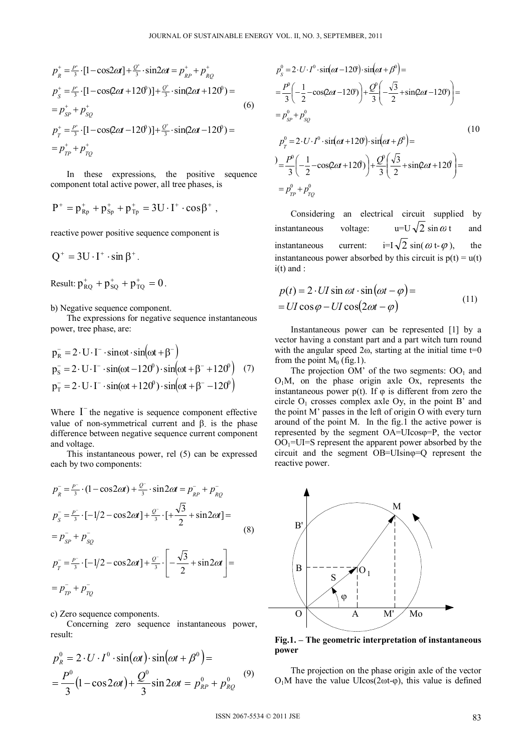$$
p_{R}^{+} = \frac{P^{+}}{3} \cdot [1 - \cos 2\alpha t] + \frac{Q^{+}}{3} \cdot \sin 2\alpha t = p_{RP}^{+} + p_{RQ}^{+}
$$
  
\n
$$
p_{S}^{+} = \frac{P^{+}}{3} \cdot [1 - \cos(2\alpha t + 120^0)] + \frac{Q^{+}}{3} \cdot \sin(2\alpha t + 120^0) =
$$
  
\n
$$
= p_{SP}^{+} + p_{SQ}^{+}
$$
  
\n
$$
p_{T}^{+} = \frac{P^{+}}{3} \cdot [1 - \cos(2\alpha t - 120^0)] + \frac{Q^{+}}{3} \cdot \sin(2\alpha t - 120^0) =
$$
  
\n
$$
= p_{TP}^{+} + p_{TQ}^{+}
$$
  
\n(6)

In these expressions, the positive sequence component total active power, all tree phases, is

$$
P^+ = p^+_{Rp} + p^+_{Sp} + p^+_{Tp} = 3U \cdot I^+ \cdot cos\beta^+ \; ,
$$

reactive power positive sequence component is

$$
Q^+ = 3U \cdot I^+ \cdot \sin \beta^+.
$$

Result:  $p_{RO}^+ + p_{SO}^+ + p_{TO}^+ = 0$ .

#### b) Negative sequence component.

The expressions for negative sequence instantaneous power, tree phase, are:

$$
p_{R}^{-} = 2 \cdot U \cdot I^{-} \cdot \sin \omega t \cdot \sin(\omega t + \beta^{-})
$$
  
\n
$$
p_{S}^{-} = 2 \cdot U \cdot I^{-} \cdot \sin(\omega t - 120^{\circ}) \cdot \sin(\omega t + \beta^{-} + 120^{\circ})
$$
 (7)  
\n
$$
p_{T}^{-} = 2 \cdot U \cdot I^{-} \cdot \sin(\omega t + 120^{\circ}) \cdot \sin(\omega t + \beta^{-} - 120^{\circ})
$$

Where  $I^-$  the negative is sequence component effective value of non-symmetrical current and  $\beta$ , is the phase difference between negative sequence current component and voltage.

This instantaneous power, rel (5) can be expressed each by two components:

$$
p_{R}^{-} = \frac{P^{-}}{3} \cdot (1 - \cos 2\omega t) + \frac{Q^{-}}{3} \cdot \sin 2\omega t = p_{RP}^{-} + p_{RQ}^{-}
$$
  
\n
$$
p_{S}^{-} = \frac{P^{-}}{3} \cdot [-1/2 - \cos 2\omega t] + \frac{Q^{-}}{3} \cdot [-\frac{\sqrt{3}}{2} + \sin 2\omega t] =
$$
  
\n
$$
= p_{SP}^{-} + p_{SQ}^{-}
$$
  
\n
$$
p_{T}^{-} = \frac{P^{-}}{3} \cdot [-1/2 - \cos 2\omega t] + \frac{Q^{-}}{3} \cdot \left[ -\frac{\sqrt{3}}{2} + \sin 2\omega t \right] =
$$
  
\n
$$
= p_{TP}^{-} + p_{TQ}^{-}
$$
 (8)

c) Zero sequence components.

Concerning zero sequence instantaneous power, result:

$$
p_R^0 = 2 \cdot U \cdot I^0 \cdot \sin(\omega t) \cdot \sin(\omega t + \beta^0) =
$$
  
= 
$$
\frac{P^0}{3} (1 - \cos 2\omega t) + \frac{Q^0}{3} \sin 2\omega t = p_{RP}^0 + p_{RQ}^0
$$
 (9)

$$
p_s^0 = 2 \cdot U \cdot I^0 \cdot \sin(\alpha t - 120) \cdot \sin(\alpha t + \beta^0) =
$$
  
\n
$$
= \frac{P^0}{3} \left( -\frac{1}{2} - \cos(2\alpha t - 1200) \right) + \frac{Q^0}{3} \left( -\frac{\sqrt{3}}{2} + \sin(2\alpha t - 1200) \right) =
$$
  
\n
$$
= p_{sr}^0 + p_{sQ}^0
$$
  
\n
$$
p_r^0 = 2 \cdot U \cdot I^0 \cdot \sin(\alpha t + 1200) \cdot \sin(\alpha t + \beta^0) =
$$
  
\n
$$
= \frac{P^0}{3} \left( -\frac{1}{2} - \cos(2\alpha t + 1200) \right) + \frac{Q^0}{3} \left( \frac{\sqrt{3}}{2} + \sin(2\alpha t + 1200) \right) =
$$
  
\n
$$
= p_{rr}^0 + p_{rQ}^0
$$
  
\n(10)

Considering an electrical circuit supplied by instantaneous voltage:  $u=U\sqrt{2} \sin \omega t$  and instantaneous current:  $i=I\sqrt{2} \sin(\omega t-\varphi)$ , the instantaneous power absorbed by this circuit is  $p(t) = u(t)$  $i(t)$  and :

$$
p(t) = 2 \cdot UI \sin \omega t \cdot \sin(\omega t - \varphi) =
$$
  
= UI \cos \varphi - UI \cos(2\omega t - \varphi) (11)

Instantaneous power can be represented [1] by a vector having a constant part and a part witch turn round with the angular speed  $2\omega$ , starting at the initial time t=0 from the point  $M_0$  (fig.1).

The projection OM' of the two segments:  $OO<sub>1</sub>$  and  $O<sub>1</sub>M$ , on the phase origin axle Ox, represents the instantaneous power  $p(t)$ . If  $\varphi$  is different from zero the circle  $O_1$  crosses complex axle Oy, in the point B' and the point M' passes in the left of origin O with every turn around of the point M. In the fig.1 the active power is represented by the segment OA=UIcosφ=P, the vector  $\overline{OO}_1$ =UI=S represent the apparent power absorbed by the circuit and the segment OB=UIsinφ=Q represent the reactive power.



**Fig.1. – The geometric interpretation of instantaneous power** 

The projection on the phase origin axle of the vector  $O<sub>1</sub>M$  have the value UIcos(2ωt-φ), this value is defined